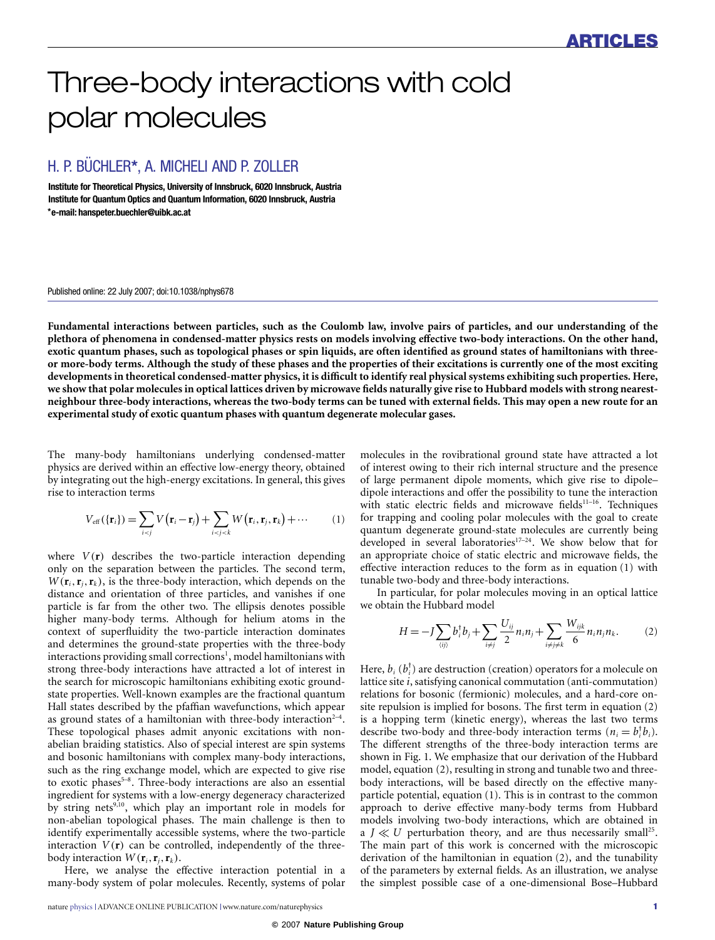# Three-body interactions with cold polar molecules

# H. P. BUCHLER ¨ **\***, A. MICHELI AND P. ZOLLER

**Institute for Theoretical Physics, University of Innsbruck, 6020 Innsbruck, Austria Institute for Quantum Optics and Quantum Information, 6020 Innsbruck, Austria \*e-mail: [hanspeter.buechler@uibk.ac.at](mailto:hanspeter.buechler@uibk.ac.at)**

Published online: 22 July 2007; doi[:10.1038/nphys678](http://www.nature.com/doifinder/10.1038/nphys678)

**Fundamental interactions between particles, such as the Coulomb law, involve pairs of particles, and our understanding of the plethora of phenomena in condensed-matter physics rests on models involving effective two-body interactions. On the other hand, exotic quantum phases, such as topological phases or spin liquids, are often identified as ground states of hamiltonians with threeor more-body terms. Although the study of these phases and the properties of their excitations is currently one of the most exciting developments in theoretical condensed-matter physics, it is difficult to identify real physical systems exhibiting such properties. Here, we show that polar molecules in optical lattices driven by microwave fields naturally give rise to Hubbard models with strong nearestneighbour three-body interactions, whereas the two-body terms can be tuned with external fields. This may open a new route for an experimental study of exotic quantum phases with quantum degenerate molecular gases.**

The many-body hamiltonians underlying condensed-matter physics are derived within an effective low-energy theory, obtained by integrating out the high-energy excitations. In general, this gives rise to interaction terms

<span id="page-0-0"></span>
$$
V_{\text{eff}}(\{\mathbf{r}_i\}) = \sum_{i < j} V(\mathbf{r}_i - \mathbf{r}_j) + \sum_{i < j < k} W(\mathbf{r}_i, \mathbf{r}_j, \mathbf{r}_k) + \cdots \tag{1}
$$

where  $V(\mathbf{r})$  describes the two-particle interaction depending only on the separation between the particles. The second term,  $W(\mathbf{r}_i, \mathbf{r}_i, \mathbf{r}_k)$ , is the three-body interaction, which depends on the distance and orientation of three particles, and vanishes if one particle is far from the other two. The ellipsis denotes possible higher many-body terms. Although for helium atoms in the context of superfluidity the two-particle interaction dominates and determines the ground-state properties with the three-body interactions providing small corrections<sup>[1](#page-5-0)</sup>, model hamiltonians with strong three-body interactions have attracted a lot of interest in the search for microscopic hamiltonians exhibiting exotic groundstate properties. Well-known examples are the fractional quantum Hall states described by the pfaffian wavefunctions, which appear as ground states of a hamiltonian with three-body interaction $2-4$  $2-4$ . These topological phases admit anyonic excitations with nonabelian braiding statistics. Also of special interest are spin systems and bosonic hamiltonians with complex many-body interactions, such as the ring exchange model, which are expected to give rise to exotic phases<sup>5-[8](#page-5-4)</sup>. Three-body interactions are also an essential ingredient for systems with a low-energy degeneracy characterized by string nets<sup>[9](#page-5-5)[,10](#page-5-6)</sup>, which play an important role in models for non-abelian topological phases. The main challenge is then to identify experimentally accessible systems, where the two-particle interaction  $V(\mathbf{r})$  can be controlled, independently of the threebody interaction  $W(\mathbf{r}_i, \mathbf{r}_i, \mathbf{r}_k)$ .

Here, we analyse the effective interaction potential in a many-body system of polar molecules. Recently, systems of polar molecules in the rovibrational ground state have attracted a lot of interest owing to their rich internal structure and the presence of large permanent dipole moments, which give rise to dipole– dipole interactions and offer the possibility to tune the interaction with static electric fields and microwave fields<sup>[11](#page-5-7)-16</sup>. Techniques for trapping and cooling polar molecules with the goal to create quantum degenerate ground-state molecules are currently being developed in several laboratories $17-24$  $17-24$ . We show below that for an appropriate choice of static electric and microwave fields, the effective interaction reduces to the form as in equation [\(1\)](#page-0-0) with tunable two-body and three-body interactions.

In particular, for polar molecules moving in an optical lattice we obtain the Hubbard model

<span id="page-0-1"></span>
$$
H = -J\sum_{\langle ij \rangle} b_i^{\dagger} b_j + \sum_{i \neq j} \frac{U_{ij}}{2} n_i n_j + \sum_{i \neq j \neq k} \frac{W_{ijk}}{6} n_i n_j n_k. \tag{2}
$$

Here,  $b_i$  ( $b_i^{\dagger}$ ) are destruction (creation) operators for a molecule on lattice site *i*, satisfying canonical commutation (anti-commutation) relations for bosonic (fermionic) molecules, and a hard-core onsite repulsion is implied for bosons. The first term in equation [\(2\)](#page-0-1) is a hopping term (kinetic energy), whereas the last two terms describe two-body and three-body interaction terms  $(n_i = b_i^{\dagger} b_i)$ . The different strengths of the three-body interaction terms are shown in [Fig.](#page-1-0) [1.](#page-1-0) We emphasize that our derivation of the Hubbard model, equation [\(2\)](#page-0-1), resulting in strong and tunable two and threebody interactions, will be based directly on the effective manyparticle potential, equation [\(1\)](#page-0-0). This is in contrast to the common approach to derive effective many-body terms from Hubbard models involving two-body interactions, which are obtained in a  $J \ll U$  perturbation theory, and are thus necessarily small<sup>[25](#page-5-11)</sup>. The main part of this work is concerned with the microscopic derivation of the hamiltonian in equation [\(2\)](#page-0-1), and the tunability of the parameters by external fields. As an illustration, we analyse the simplest possible case of a one-dimensional Bose–Hubbard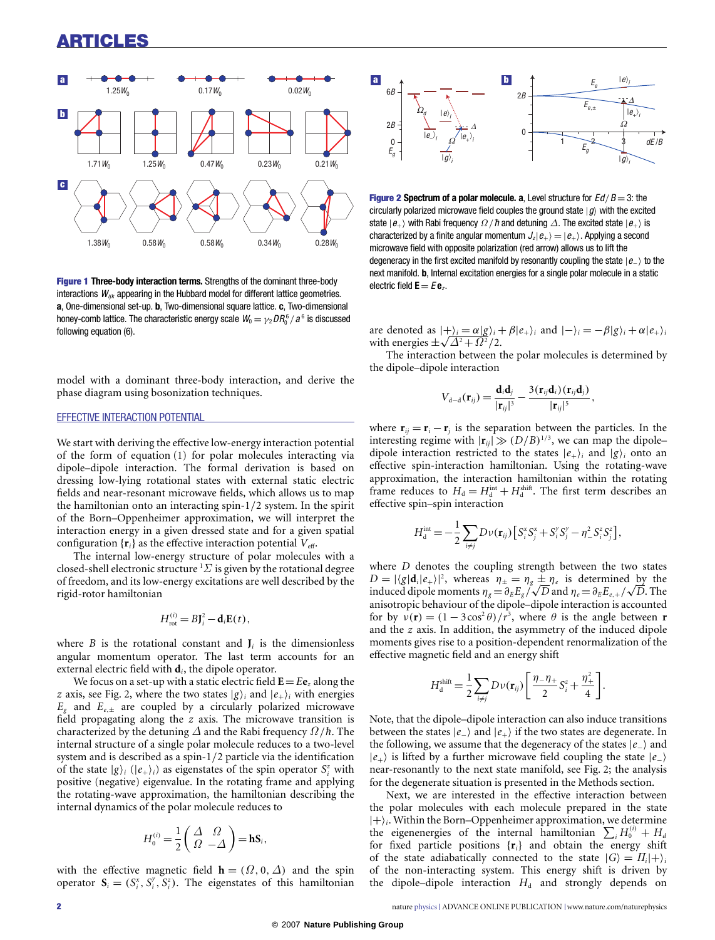# ARTICLES



<span id="page-1-0"></span>Figure 1 **Three-body interaction terms.** Strengths of the dominant three-body interactions  $W_{ijk}$  appearing in the Hubbard model for different lattice geometries. **a**, One-dimensional set-up. **b**, Two-dimensional square lattice. **c**, Two-dimensional honey-comb lattice. The characteristic energy scale  $\mathit{W}_{0} = \gamma_{2} \mathit{DR}_{0}^{6}$  /  $a^{6}$  is discussed following equation [\(6\).](#page-3-0)

model with a dominant three-body interaction, and derive the phase diagram using bosonization techniques.

## EFFECTIVE INTERACTION POTENTIAL

We start with deriving the effective low-energy interaction potential of the form of equation [\(1\)](#page-0-0) for polar molecules interacting via dipole–dipole interaction. The formal derivation is based on dressing low-lying rotational states with external static electric fields and near-resonant microwave fields, which allows us to map the hamiltonian onto an interacting spin-1/2 system. In the spirit of the Born–Oppenheimer approximation, we will interpret the interaction energy in a given dressed state and for a given spatial configuration  $\{r_i\}$  as the effective interaction potential  $V_{\text{eff}}$ .

The internal low-energy structure of polar molecules with a closed-shell electronic structure  $^1\Sigma$  is given by the rotational degree of freedom, and its low-energy excitations are well described by the rigid-rotor hamiltonian

$$
H_{\rm rot}^{(i)} = B\mathbf{J}_i^2 - \mathbf{d}_i \mathbf{E}(t),
$$

where  $B$  is the rotational constant and  $J_i$  is the dimensionless angular momentum operator. The last term accounts for an external electric field with **d***<sup>i</sup>* , the dipole operator.

We focus on a set-up with a static electric field  $\mathbf{E} = E \mathbf{e}_z$  along the *z* axis, see [Fig.](#page-1-1) [2,](#page-1-1) where the two states  $|g\rangle$ *i* and  $|e_{+}\rangle$ *i* with energies  $E_g$  and  $E_{e,\pm}$  are coupled by a circularly polarized microwave field propagating along the *z* axis. The microwave transition is characterized by the detuning  $\Delta$  and the Rabi frequency  $\Omega/\hbar$ . The internal structure of a single polar molecule reduces to a two-level system and is described as a spin-1/2 particle via the identification of the state  $|g\rangle$ <sub>*i*</sub> ( $|e_{+}\rangle$ <sub>*i*</sub>) as eigenstates of the spin operator  $S_i^z$  with positive (negative) eigenvalue. In the rotating frame and applying the rotating-wave approximation, the hamiltonian describing the internal dynamics of the polar molecule reduces to

$$
H_0^{(i)} = \frac{1}{2} \begin{pmatrix} \Delta & \Omega \\ \Omega & -\Delta \end{pmatrix} = \mathbf{h} \mathbf{S}_i,
$$

with the effective magnetic field **h** =  $(\Omega, 0, \Delta)$  and the spin operator  $\mathbf{S}_i = (S_i^x, S_i^y, S_i^z)$ 



<span id="page-1-1"></span>**Figure 2 Spectrum of a polar molecule. a**, Level structure for  $Ed/B = 3$ : the circularly polarized microwave field couples the ground state  $|g\rangle$  with the excited state  $|e_{+}\rangle$  with Rabi frequency  $\Omega/\hbar$  and detuning  $\Delta$ . The excited state  $|e_{+}\rangle$  is characterized by a finite angular momentum  $J_z$  $|e_+\rangle = |e_+\rangle$ . Applying a second microwave field with opposite polarization (red arrow) allows us to lift the degeneracy in the first excited manifold by resonantly coupling the state  $|e_-\rangle$  to the next manifold. **b**, Internal excitation energies for a single polar molecule in a static electric field  $\mathbf{E} = E \mathbf{e}_z$ .

are denoted as  $|+\rangle_i = \alpha |g\rangle_i + \beta |e_+\rangle_i$  and  $|-\rangle_i = -\beta |g\rangle_i + \alpha |e_+\rangle_i$ with energies  $\pm \sqrt{\Delta^2 + \Omega^2}/2$ .

The interaction between the polar molecules is determined by the dipole–dipole interaction

$$
V_{\mathrm{d-d}}(\mathbf{r}_{ij})=\frac{\mathbf{d}_i\mathbf{d}_j}{|\mathbf{r}_{ij}|^3}-\frac{3(\mathbf{r}_{ij}\mathbf{d}_i)(\mathbf{r}_{ij}\mathbf{d}_j)}{|\mathbf{r}_{ij}|^5},
$$

where  $\mathbf{r}_{ij} = \mathbf{r}_i - \mathbf{r}_j$  is the separation between the particles. In the interesting regime with  $|\mathbf{r}_{ij}| \gg (D/B)^{1/3}$ , we can map the dipoledipole interaction restricted to the states  $|e_{+}\rangle_i$  and  $|g\rangle_i$  onto an effective spin-interaction hamiltonian. Using the rotating-wave approximation, the interaction hamiltonian within the rotating frame reduces to  $H_d = H_d^{\text{int}} + H_d^{\text{shift}}$ . The first term describes an effective spin–spin interaction

$$
H_{\rm d}^{\rm int} = -\frac{1}{2} \sum_{i \neq j} D \nu(\mathbf{r}_{ij}) \left[ S_i^x S_j^x + S_i^y S_j^y - \eta_-^2 S_i^z S_j^z \right],
$$

where *D* denotes the coupling strength between the two states  $D = |\langle g | \mathbf{d}_i | e_+ \rangle|^2$ , whereas  $\eta_{\pm} = \eta_g \pm \eta_e$  is determined by the induced dipole moments  $\eta_g = \partial_E E_g / \sqrt{D}$  and  $\eta_e = \partial_E E_{e,+} / \sqrt{D}$ . The anisotropic behaviour of the dipole–dipole interaction is accounted for by  $v(\mathbf{r}) = (1 - 3\cos^2\theta)/r^3$ , where  $\theta$  is the angle between **r** and the *z* axis. In addition, the asymmetry of the induced dipole moments gives rise to a position-dependent renormalization of the effective magnetic field and an energy shift

$$
H_{\rm d}^{\rm shift} = \frac{1}{2} \sum_{i \neq j} D \nu(\mathbf{r}_{ij}) \left[ \frac{\eta_{-} \eta_{+}}{2} S_{i}^{z} + \frac{\eta_{+}^{2}}{4} \right].
$$

Note, that the dipole–dipole interaction can also induce transitions between the states  $|e_{-}\rangle$  and  $|e_{+}\rangle$  if the two states are degenerate. In the following, we assume that the degeneracy of the states |*e*−i and  $|e_{+}\rangle$  is lifted by a further microwave field coupling the state  $|e_{-}\rangle$ near-resonantly to the next state manifold, see [Fig.](#page-1-1) [2;](#page-1-1) the analysis for the degenerate situation is presented in the Methods section.

Next, we are interested in the effective interaction between the polar molecules with each molecule prepared in the state  $|+\rangle$ <sup>2</sup>. Within the Born–Oppenheimer approximation, we determine the eigenenergies of the internal hamiltonian  $\sum_i H_0^{(i)} + H_a$ for fixed particle positions  $\{r_i\}$  and obtain the energy shift of the state adiabatically connected to the state  $|G\rangle = \Pi_i |+\rangle_i$ of the non-interacting system. This energy shift is driven by the dipole–dipole interaction  $H_d$  and strongly depends on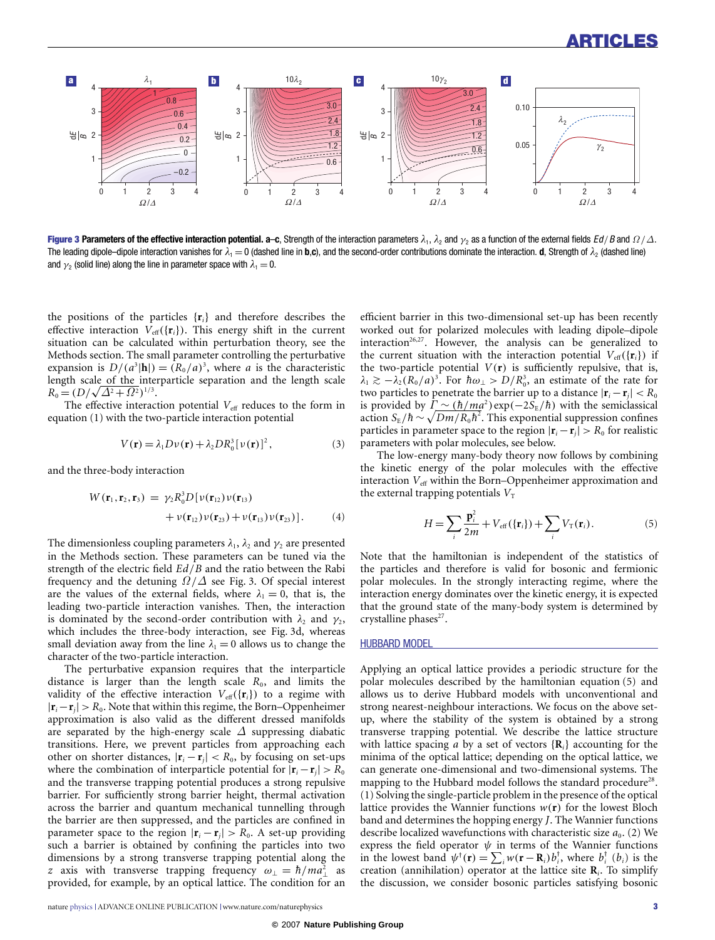

<span id="page-2-0"></span>**Figure 3 Parameters of the effective interaction potential. a–c**, Strength of the interaction parameters  $\lambda_1$ ,  $\lambda_2$  and  $\gamma_2$  as a function of the external fields Ed/B and  $\Omega/\Delta$ . The leading dipole–dipole interaction vanishes for  $\lambda_1 = 0$  (dashed line in **b,c**), and the second-order contributions dominate the interaction. **d**, Strength of  $\lambda_2$  (dashed line) and  $\gamma_2$  (solid line) along the line in parameter space with  $\lambda_1 = 0$ .

the positions of the particles {**r***i*} and therefore describes the effective interaction  $V_{\text{eff}}(\{r_i\})$ . This energy shift in the current situation can be calculated within perturbation theory, see the Methods section. The small parameter controlling the perturbative expansion is  $D/(a^3|\mathbf{h}|) = (R_0/a)^3$ , where *a* is the characteristic length scale of the interparticle separation and the length scale  $R_0 = (D/\sqrt{\Delta^2 + \Omega^2})^{1/3}.$ 

The effective interaction potential  $V_{\text{eff}}$  reduces to the form in equation [\(1\)](#page-0-0) with the two-particle interaction potential

<span id="page-2-3"></span><span id="page-2-2"></span>
$$
V(\mathbf{r}) = \lambda_1 D \nu(\mathbf{r}) + \lambda_2 D R_0^3 [\nu(\mathbf{r})]^2, \tag{3}
$$

and the three-body interaction

$$
W(\mathbf{r}_1, \mathbf{r}_2, \mathbf{r}_3) = \gamma_2 R_0^3 D[\nu(\mathbf{r}_{12}) \nu(\mathbf{r}_{13}) + \nu(\mathbf{r}_{12}) \nu(\mathbf{r}_{23}) + \nu(\mathbf{r}_{13}) \nu(\mathbf{r}_{23})].
$$
 (4)

The dimensionless coupling parameters  $\lambda_1$ ,  $\lambda_2$  and  $\gamma_2$  are presented in the Methods section. These parameters can be tuned via the strength of the electric field *Ed*/*B* and the ratio between the Rabi frequency and the detuning  $\Omega/\Delta$  see [Fig.](#page-2-0) [3.](#page-2-0) Of special interest are the values of the external fields, where  $\lambda_1 = 0$ , that is, the leading two-particle interaction vanishes. Then, the interaction is dominated by the second-order contribution with  $\lambda_2$  and  $\gamma_2$ , which includes the three-body interaction, see [Fig.](#page-2-0) [3d](#page-2-0), whereas small deviation away from the line  $\lambda_1 = 0$  allows us to change the character of the two-particle interaction.

The perturbative expansion requires that the interparticle distance is larger than the length scale  $R_0$ , and limits the validity of the effective interaction  $V_{\text{eff}}({\bf r}_i)$  to a regime with |**r***i*−**r***<sup>j</sup>* | > *R*<sup>0</sup> . Note that within this regime, the Born–Oppenheimer approximation is also valid as the different dressed manifolds are separated by the high-energy scale  $\Delta$  suppressing diabatic transitions. Here, we prevent particles from approaching each other on shorter distances,  $|\mathbf{r}_i - \mathbf{r}_j| < R_0$ , by focusing on set-ups where the combination of interparticle potential for  $|\mathbf{r}_i - \mathbf{r}_j| > R_0$ and the transverse trapping potential produces a strong repulsive barrier. For sufficiently strong barrier height, thermal activation across the barrier and quantum mechanical tunnelling through the barrier are then suppressed, and the particles are confined in parameter space to the region  $|\mathbf{r}_i - \mathbf{r}_j| > R_0$ . A set-up providing such a barrier is obtained by confining the particles into two dimensions by a strong transverse trapping potential along the *z* axis with transverse trapping frequency  $\omega_{\perp} = \hbar / m a_{\perp}^2$  as provided, for example, by an optical lattice. The condition for an efficient barrier in this two-dimensional set-up has been recently worked out for polarized molecules with leading dipole–dipole interaction<sup>[26](#page-5-12)[,27](#page-5-13)</sup>. However, the analysis can be generalized to the current situation with the interaction potential  $V_{\text{eff}}(\{\mathbf{r}_i\})$  if the two-particle potential  $V(\mathbf{r})$  is sufficiently repulsive, that is,  $\lambda_1$  ≥  $-\lambda_2 (R_0/a)^3$ . For  $\hbar \omega_$  > *D*/*R*<sub>0</sub><sup>3</sup>, an estimate of the rate for two particles to penetrate the barrier up to a distance  $|\mathbf{r}_i - \mathbf{r}_j| < R_0$ is provided by  $\Gamma \sim (\hbar / m_a^2) \exp(-2S_E/\hbar)$  with the semiclassical action  $S_E/\hbar \sim \sqrt{Dm/R_0\hbar^2}$ . This exponential suppression confines particles in parameter space to the region  $|\mathbf{r}_i - \mathbf{r}_j| > R_0$  for realistic parameters with polar molecules, see below.

The low-energy many-body theory now follows by combining the kinetic energy of the polar molecules with the effective interaction  $V_{\text{eff}}$  within the Born–Oppenheimer approximation and the external trapping potentials  $V<sub>T</sub>$ 

<span id="page-2-1"></span>
$$
H = \sum_{i} \frac{\mathbf{p}_i^2}{2m} + V_{\text{eff}}(\{\mathbf{r}_i\}) + \sum_{i} V_{\text{T}}(\mathbf{r}_i). \tag{5}
$$

Note that the hamiltonian is independent of the statistics of the particles and therefore is valid for bosonic and fermionic polar molecules. In the strongly interacting regime, where the interaction energy dominates over the kinetic energy, it is expected that the ground state of the many-body system is determined by crystalline phases<sup>[27](#page-5-13)</sup>.

### HUBBARD MODEL

Applying an optical lattice provides a periodic structure for the polar molecules described by the hamiltonian equation [\(5\)](#page-2-1) and allows us to derive Hubbard models with unconventional and strong nearest-neighbour interactions. We focus on the above setup, where the stability of the system is obtained by a strong transverse trapping potential. We describe the lattice structure with lattice spacing *a* by a set of vectors {**R***i*} accounting for the minima of the optical lattice; depending on the optical lattice, we can generate one-dimensional and two-dimensional systems. The mapping to the Hubbard model follows the standard procedure<sup>[28](#page-5-14)</sup>. (1) Solving the single-particle problem in the presence of the optical lattice provides the Wannier functions  $w(\mathbf{r})$  for the lowest Bloch band and determines the hopping energy *J*. The Wannier functions describe localized wavefunctions with characteristic size  $a_0$ . (2) We express the field operator  $\psi$  in terms of the Wannier functions in the lowest band  $\psi^{\dagger}(\mathbf{r}) = \sum_{i} w(\mathbf{r} - \mathbf{R}_i) b_i^{\dagger}$ , where  $b_i^{\dagger} (b_i)$  is the creation (annihilation) operator at the lattice site **R***<sup>i</sup>* . To simplify the discussion, we consider bosonic particles satisfying bosonic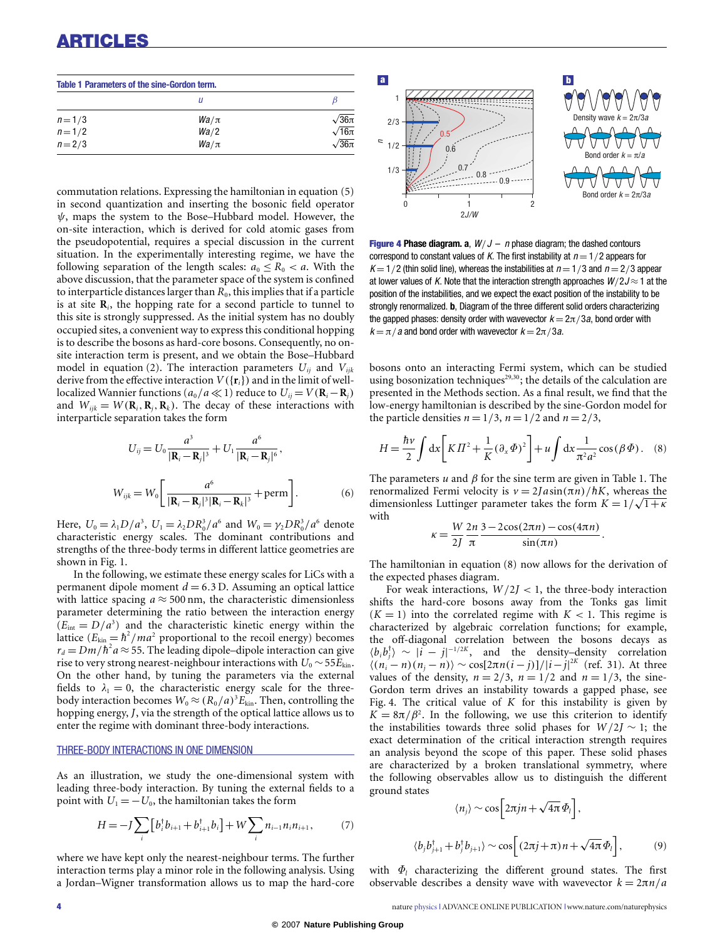# ARTICLES

<span id="page-3-1"></span>

| Table 1 Parameters of the sine-Gordon term. |          |                |
|---------------------------------------------|----------|----------------|
|                                             | IJ       |                |
| $n = 1/3$                                   | $Wa/\pi$ | $\sqrt{36\pi}$ |
| $n=1/2$<br>$n=2/3$                          | Wa/2     | $\sqrt{16\pi}$ |
|                                             | $Wa/\pi$ | $\sqrt{36\pi}$ |

commutation relations. Expressing the hamiltonian in equation [\(5\)](#page-2-1) in second quantization and inserting the bosonic field operator  $\psi$ , maps the system to the Bose–Hubbard model. However, the on-site interaction, which is derived for cold atomic gases from the pseudopotential, requires a special discussion in the current situation. In the experimentally interesting regime, we have the following separation of the length scales:  $a_0 \leq R_0 < a$ . With the above discussion, that the parameter space of the system is confined to interparticle distances larger than  $R_0$ , this implies that if a particle is at site **R***<sup>i</sup>* , the hopping rate for a second particle to tunnel to this site is strongly suppressed. As the initial system has no doubly occupied sites, a convenient way to express this conditional hopping is to describe the bosons as hard-core bosons. Consequently, no onsite interaction term is present, and we obtain the Bose–Hubbard model in equation [\(2\)](#page-0-1). The interaction parameters  $U_{ii}$  and  $V_{iik}$ derive from the effective interaction  $V({\bf r}_i)$  and in the limit of welllocalized Wannier functions ( $a_0 / a \ll 1$ ) reduce to  $U_{ij} = V(\mathbf{R}_i - \mathbf{R}_j)$ and  $W_{ijk} = W(\mathbf{R}_i, \mathbf{R}_j, \mathbf{R}_k)$ . The decay of these interactions with interparticle separation takes the form

<span id="page-3-0"></span>
$$
U_{ij} = U_0 \frac{a^3}{|\mathbf{R}_i - \mathbf{R}_j|^3} + U_1 \frac{a^6}{|\mathbf{R}_i - \mathbf{R}_j|^6},
$$
  

$$
W_{ijk} = W_0 \left[ \frac{a^6}{|\mathbf{R}_i - \mathbf{R}_j|^3 |\mathbf{R}_i - \mathbf{R}_k|^3} + \text{perm} \right].
$$
 (6)

Here,  $U_0 = \lambda_1 D/a^3$ ,  $U_1 = \lambda_2 D R_0^3/a^6$  and  $W_0 = \gamma_2 D R_0^3/a^6$  denote characteristic energy scales. The dominant contributions and strengths of the three-body terms in different lattice geometries are shown in [Fig.](#page-1-0) [1.](#page-1-0)

In the following, we estimate these energy scales for LiCs with a permanent dipole moment  $d = 6.3$  D. Assuming an optical lattice with lattice spacing  $a \approx 500$  nm, the characteristic dimensionless parameter determining the ratio between the interaction energy  $(E<sub>int</sub> = D/a<sup>3</sup>)$  and the characteristic kinetic energy within the lattice  $(E_{\text{kin}} = \hbar^2 / ma^2$  proportional to the recoil energy) becomes  $r_d = Dm/\hbar^2 a \approx 55$ . The leading dipole–dipole interaction can give rise to very strong nearest-neighbour interactions with  $U_0 \sim 55 E_{kin}$ . On the other hand, by tuning the parameters via the external fields to  $\lambda_1 = 0$ , the characteristic energy scale for the threebody interaction becomes  $W_0 \approx (R_0/a)^3 E_{\text{kin}}$ . Then, controlling the hopping energy, *J*, via the strength of the optical lattice allows us to enter the regime with dominant three-body interactions.

#### THREE-BODY INTERACTIONS IN ONE DIMENSION

As an illustration, we study the one-dimensional system with leading three-body interaction. By tuning the external fields to a point with  $U_1 = -U_0$ , the hamiltonian takes the form

<span id="page-3-5"></span>
$$
H = -J\sum_{i} \left[ b_i^{\dagger} b_{i+1} + b_{i+1}^{\dagger} b_i \right] + W \sum_{i} n_{i-1} n_i n_{i+1}, \tag{7}
$$

where we have kept only the nearest-neighbour terms. The further interaction terms play a minor role in the following analysis. Using a Jordan–Wigner transformation allows us to map the hard-core



<span id="page-3-3"></span>**Figure 4 Phase diagram. a,**  $W/J - n$  **phase diagram; the dashed contours** correspond to constant values of K. The first instability at  $n = 1/2$  appears for  $K = 1/2$  (thin solid line), whereas the instabilities at  $n = 1/3$  and  $n = 2/3$  appear at lower values of K. Note that the interaction strength approaches  $W/2J \approx 1$  at the position of the instabilities, and we expect the exact position of the instability to be strongly renormalized. **b**, Diagram of the three different solid orders characterizing the gapped phases: density order with wavevector  $k = 2\pi/3a$ , bond order with  $k = \pi/a$  and bond order with wavevector  $k = 2\pi/3a$ .

bosons onto an interacting Fermi system, which can be studied using bosonization techniques<sup>[29](#page-5-15)[,30](#page-5-16)</sup>; the details of the calculation are presented in the Methods section. As a final result, we find that the low-energy hamiltonian is described by the sine-Gordon model for the particle densities  $n = 1/3$ ,  $n = 1/2$  and  $n = 2/3$ ,

<span id="page-3-2"></span>
$$
H = \frac{\hbar v}{2} \int dx \left[ K \Pi^2 + \frac{1}{K} (\partial_x \Phi)^2 \right] + u \int dx \frac{1}{\pi^2 a^2} \cos(\beta \Phi). \quad (8)
$$

The parameters *u* and β for the sine term are given in [Table](#page-3-1) [1.](#page-3-1) The renormalized Fermi velocity is  $ν = 2Ja\sin(\pi n)/\hbar K$ , whereas the dimensionless Luttinger parameter takes the form  $K = 1/\sqrt{1 + \kappa}$ with

$$
\kappa = \frac{W}{2J} \frac{2n}{\pi} \frac{3 - 2\cos(2\pi n) - \cos(4\pi n)}{\sin(\pi n)}.
$$

The hamiltonian in equation [\(8\)](#page-3-2) now allows for the derivation of the expected phases diagram.

For weak interactions,  $W/2J < 1$ , the three-body interaction shifts the hard-core bosons away from the Tonks gas limit  $(K = 1)$  into the correlated regime with  $K < 1$ . This regime is characterized by algebraic correlation functions; for example, the off-diagonal correlation between the bosons decays as  $\langle b_i b_j^{\dagger} \rangle \sim |i - j|^{-1/2K}$ , and the density–density correlation  $\langle (n_i - n)(n_j - n) \rangle$  ∼ cos[2 $\pi n(i - j)$ ]/| $i - j$ |<sup>2*K*</sup> (ref. [31\)](#page-5-17). At three values of the density,  $n = 2/3$ ,  $n = 1/2$  and  $n = 1/3$ , the sine-Gordon term drives an instability towards a gapped phase, see [Fig.](#page-3-3) [4.](#page-3-3) The critical value of  $K$  for this instability is given by  $K = 8\pi/\beta^2$ . In the following, we use this criterion to identify the instabilities towards three solid phases for  $W/2J \sim 1$ ; the exact determination of the critical interaction strength requires an analysis beyond the scope of this paper. These solid phases are characterized by a broken translational symmetry, where the following observables allow us to distinguish the different ground states √

<span id="page-3-4"></span>
$$
\langle n_j \rangle \sim \cos \left[ 2\pi j n + \sqrt{4\pi} \Phi_l \right],
$$
  

$$
\langle b_j b_{j+1}^\dagger + b_j^\dagger b_{j+1} \rangle \sim \cos \left[ (2\pi j + \pi) n + \sqrt{4\pi} \Phi_l \right],
$$
 (9)

with Φ*<sup>l</sup>* characterizing the different ground states. The first observable describes a density wave with wavevector  $k = 2\pi n/a$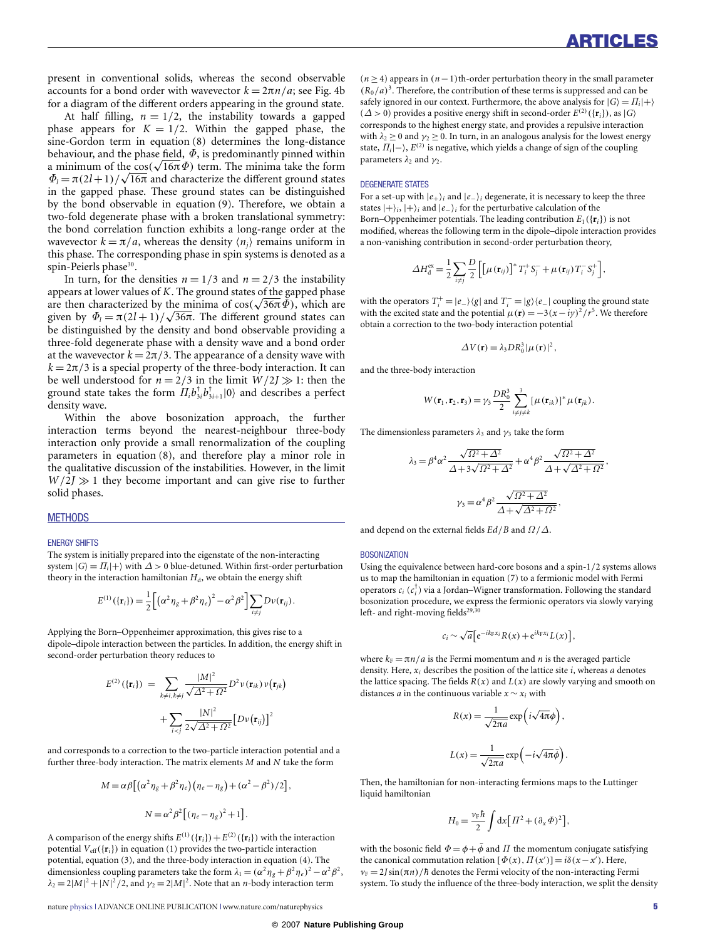present in conventional solids, whereas the second observable accounts for a bond order with wavevector  $k = 2\pi n/a$ ; see [Fig.](#page-3-3) [4b](#page-3-3) for a diagram of the different orders appearing in the ground state.

At half filling,  $n = 1/2$ , the instability towards a gapped phase appears for  $K = 1/2$ . Within the gapped phase, the sine-Gordon term in equation [\(8\)](#page-3-2) determines the long-distance behaviour, and the phase field,  $\Phi$ , is predominantly pinned within a minimum of the  $\cos(\sqrt{16\pi}\Phi)$  term. The minima take the form  $\Phi$ <sup>*l*</sup> =  $\pi$ (2*l* + 1)/ $\sqrt{16\pi}$  and characterize the different ground states in the gapped phase. These ground states can be distinguished by the bond observable in equation [\(9\)](#page-3-4). Therefore, we obtain a two-fold degenerate phase with a broken translational symmetry: the bond correlation function exhibits a long-range order at the wavevector  $k = \pi/a$ , whereas the density  $\langle n_i \rangle$  remains uniform in this phase. The corresponding phase in spin systems is denoted as a spin-Peierls phase<sup>[30](#page-5-16)</sup>.

In turn, for the densities  $n = 1/3$  and  $n = 2/3$  the instability appears at lower values of *K*. The ground states of the gapped phase √ are then characterized by the minima of  $cos(\sqrt{36\pi}\Phi)$ , which are given by  $\Phi_l = \pi(2l+1)/\sqrt{36\pi}$ . The different ground states can be distinguished by the density and bond observable providing a three-fold degenerate phase with a density wave and a bond order at the wavevector  $k = 2\pi/3$ . The appearance of a density wave with  $k = 2\pi/3$  is a special property of the three-body interaction. It can be well understood for  $n = 2/3$  in the limit  $W/2J \gg 1$ : then the ground state takes the form  $\prod_i b_{3i}^{\dagger} b_{3i+1}^{\dagger} |0\rangle$  and describes a perfect density wave.

Within the above bosonization approach, the further interaction terms beyond the nearest-neighbour three-body interaction only provide a small renormalization of the coupling parameters in equation [\(8\)](#page-3-2), and therefore play a minor role in the qualitative discussion of the instabilities. However, in the limit  $W/2J \gg 1$  they become important and can give rise to further solid phases.

# **METHODS**

### ENERGY SHIFTS

The system is initially prepared into the eigenstate of the non-interacting system  $|G\rangle = \Pi_i|+\rangle$  with  $\Delta > 0$  blue-detuned. Within first-order perturbation theory in the interaction hamiltonian  $H_d$ , we obtain the energy shift

$$
E^{(1)}(\lbrace \mathbf{r}_i \rbrace) = \frac{1}{2} \left[ \left( \alpha^2 \eta_g + \beta^2 \eta_e \right)^2 - \alpha^2 \beta^2 \right] \sum_{i \neq j} D \nu(\mathbf{r}_{ij}).
$$

Applying the Born–Oppenheimer approximation, this gives rise to a dipole–dipole interaction between the particles. In addition, the energy shift in second-order perturbation theory reduces to

<span id="page-4-0"></span>
$$
E^{(2)}(\lbrace \mathbf{r}_i \rbrace) = \sum_{k \neq i, k \neq j} \frac{|M|^2}{\sqrt{\Delta^2 + \Omega^2}} D^2 v(\mathbf{r}_{ik}) v(\mathbf{r}_{jk})
$$

$$
+ \sum_{i < j} \frac{|N|^2}{2\sqrt{\Delta^2 + \Omega^2}} [D v(\mathbf{r}_{ij})]^2
$$

and corresponds to a correction to the two-particle interaction potential and a further three-body interaction. The matrix elements *M* and *N* take the form

$$
M = \alpha \beta \left[ \left( \alpha^2 \eta_g + \beta^2 \eta_e \right) \left( \eta_e - \eta_g \right) + \left( \alpha^2 - \beta^2 \right) / 2 \right],
$$
  

$$
N = \alpha^2 \beta^2 \left[ \left( \eta_e - \eta_g \right)^2 + 1 \right].
$$

A comparison of the energy shifts  $E^{(1)}(\mathbf{r}_i) + E^{(2)}(\mathbf{r}_i)$  with the interaction potential  $V_{\text{eff}}(\{\mathbf{r}_i\})$  in equation [\(1\)](#page-0-0) provides the two-particle interaction potential, equation [\(3\)](#page-2-2), and the three-body interaction in equation [\(4\)](#page-2-3). The dimensionless coupling parameters take the form  $\lambda_1 = (\alpha^2 \eta_g + \beta^2 \eta_e)^2 - \alpha^2 \beta^2$ ,  $\lambda_2 = 2|M|^2 + |N|^2/2$ , and  $\gamma_2 = 2|M|^2$ . Note that an *n*-body interaction term

(*n* ≥ 4) appears in (*n*−1)th-order perturbation theory in the small parameter  $(R_0/a)^3$ . Therefore, the contribution of these terms is suppressed and can be safely ignored in our context. Furthermore, the above analysis for  $|G\rangle = \Pi_i|+\rangle$ ( $\Delta$  > 0) provides a positive energy shift in second-order  $E^{(2)}$  ({**r**<sub>*i*</sub>}), as |*G*) corresponds to the highest energy state, and provides a repulsive interaction with  $\lambda_2 \ge 0$  and  $\gamma_2 \ge 0$ . In turn, in an analogous analysis for the lowest energy state,  $\Pi_i$ | –  $\rangle$ ,  $E^{(2)}$  is negative, which yields a change of sign of the coupling parameters  $λ_2$  and  $γ_2$ .

#### DEGENERATE STATES

For a set-up with  $|e_{+}\rangle_i$  and  $|e_{-}\rangle_i$  degenerate, it is necessary to keep the three states  $|+\rangle_i$ ,  $|+\rangle_i$  and  $|e_-\rangle_i$  for the perturbative calculation of the Born–Oppenheimer potentials. The leading contribution  $E_1({\bf{r}}_i)$  is not modified, whereas the following term in the dipole–dipole interaction provides a non-vanishing contribution in second-order perturbation theory,

$$
\Delta H_{\rm d}^{\rm ex} = \frac{1}{2} \sum_{i \neq j} \frac{D}{2} \left[ \left[ \mu \left( \mathbf{r}_{ij} \right) \right]^* T_i^+ S_j^- + \mu \left( \mathbf{r}_{ij} \right) T_i^- S_j^+ \right],
$$

with the operators  $T_i^+ = |e_-\rangle\langle g|$  and  $T_i^- = |g\rangle\langle e_-|$  coupling the ground state with the excited state and the potential  $\mu(\mathbf{r}) = -3(x - iy)^2/r^5$ . We therefore obtain a correction to the two-body interaction potential

$$
\Delta V(\mathbf{r}) = \lambda_3 D R_0^3 |\mu(\mathbf{r})|^2,
$$

and the three-body interaction

 $\lambda$ 

$$
W(\mathbf{r}_1,\mathbf{r}_2,\mathbf{r}_3)=\gamma_3\frac{DR_0^3}{2}\sum_{i\neq j\neq k}^3[\mu(\mathbf{r}_{ik})]^*\mu(\mathbf{r}_{jk}).
$$

The dimensionless parameters  $\lambda_3$  and  $\gamma_3$  take the form

$$
A = \beta^4 \alpha^2 \frac{\sqrt{\Omega^2 + \Delta^2}}{\Delta + 3\sqrt{\Omega^2 + \Delta^2}} + \alpha^4 \beta^2 \frac{\sqrt{\Omega^2 + \Delta^2}}{\Delta + \sqrt{\Delta^2 + \Omega^2}},
$$

$$
\gamma_3 = \alpha^4 \beta^2 \frac{\sqrt{\Omega^2 + \Delta^2}}{\Delta + \sqrt{\Delta^2 + \Omega^2}},
$$

and depend on the external fields  $Ed/B$  and  $\Omega/\Delta$ .

#### **BOSONIZATION**

Using the equivalence between hard-core bosons and a spin-1/2 systems allows us to map the hamiltonian in equation [\(7\)](#page-3-5) to a fermionic model with Fermi operators  $c_i$  ( $c_i^{\dagger}$ ) via a Jordan–Wigner transformation. Following the standard bosonization procedure, we express the fermionic operators via slowly varying left- and right-moving fields<sup>[29,](#page-5-15)[30](#page-5-16)</sup>

$$
c_i \sim \sqrt{a} \Big[ e^{-ik_{\rm F}x_i} R(x) + e^{ik_{\rm F}x_i} L(x) \Big],
$$

where  $k_F = \pi n/a$  is the Fermi momentum and *n* is the averaged particle density. Here, *x<sup>i</sup>* describes the position of the lattice site *i*, whereas *a* denotes the lattice spacing. The fields  $R(x)$  and  $L(x)$  are slowly varying and smooth on distances *a* in the continuous variable  $x \sim x_i$  with

$$
R(x) = \frac{1}{\sqrt{2\pi a}} \exp\left(i\sqrt{4\pi}\phi\right),
$$

$$
L(x) = \frac{1}{\sqrt{2\pi a}} \exp\left(-i\sqrt{4\pi}\phi\right).
$$

Then, the hamiltonian for non-interacting fermions maps to the Luttinger liquid hamiltonian

$$
H_0 = \frac{\nu_{\rm F} \hbar}{2} \int \mathrm{d}x \big[ \Pi^2 + (\partial_x \Phi)^2 \big],
$$

with the bosonic field  $\Phi = \phi + \bar{\phi}$  and  $\Pi$  the momentum conjugate satisfying the canonical commutation relation  $[\Phi(x), \Pi(x')] = i\delta(x - x')$ . Here,  $v_F = 2J\sin(\pi n)/\hbar$  denotes the Fermi velocity of the non-interacting Fermi system. To study the influence of the three-body interaction, we split the density